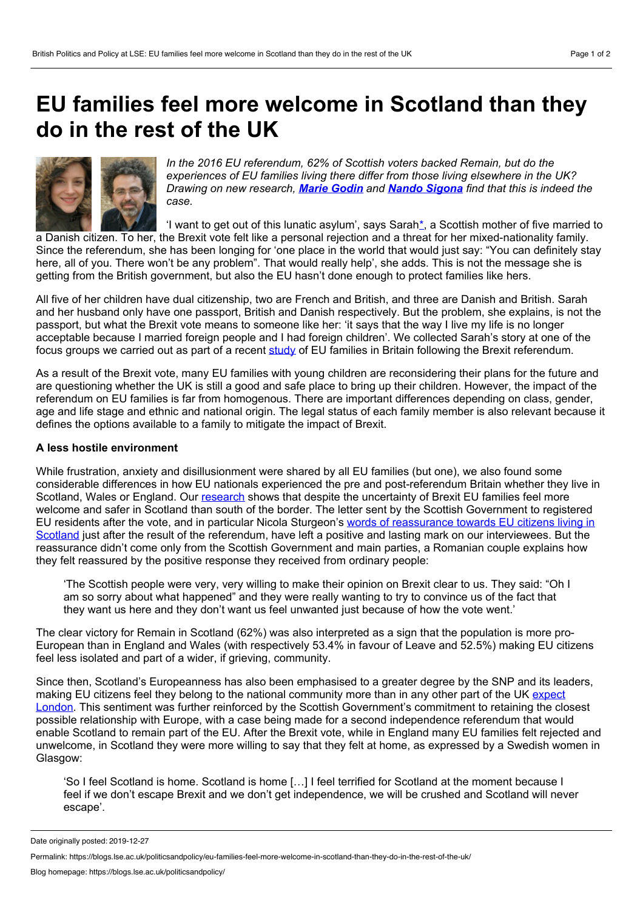## <span id="page-0-0"></span>**EU families feel more welcome in Scotland than they do in the rest of the UK**



*In the 2016 EU referendum, 62% of Scottish voters backed Remain, but do the experiences of EU families living there differ from those living elsewhere in the UK? Drawing on new research, Marie [Godin](#page-0-0) and Nando [Sigona](#page-0-0) find that this is indeed the case.*

'I want to get out of this lunatic asylum', says Sarah[\\*](https://blogs.lse.ac.uk/europpblog/2019/10/10/eu-families-feel-more-welcome-in-scotland-than-they-do-in-the-rest-of-the-uk/#Note), a Scottish mother of five married to

a Danish citizen. To her, the Brexit vote felt like a personal rejection and a threat for her mixed-nationality family. Since the referendum, she has been longing for 'one place in the world that would just say: "You can definitely stay here, all of you. There won't be any problem". That would really help', she adds. This is not the message she is getting from the British government, but also the EU hasn't done enough to protect families like hers.

All five of her children have dual citizenship, two are French and British, and three are Danish and British. Sarah and her husband only have one passport, British and Danish respectively. But the problem, she explains, is not the passport, but what the Brexit vote means to someone like her: 'it says that the way I live my life is no longer acceptable because I married foreign people and I had foreign children'. We collected Sarah's story at one of the focus groups we carried out as part of a recent [study](http://www.eurochildren.info) of EU families in Britain following the Brexit referendum.

As a result of the Brexit vote, many EU families with young children are reconsidering their plans for the future and are questioning whether the UK is still a good and safe place to bring up their children. However, the impact of the referendum on EU families is far from homogenous. There are important differences depending on class, gender, age and life stage and ethnic and national origin. The legal status of each family member is also relevant because it defines the options available to a family to mitigate the impact of Brexit.

## **A less hostile environment**

While frustration, anxiety and disillusionment were shared by all EU families (but one), we also found some considerable differences in how EU nationals experienced the pre and post-referendum Britain whether they live in Scotland, Wales or England. Our [research](https://eurochildrenblog.files.wordpress.com/2019/09/eurochildren-brief-8-sigona-godin-scotland.pdf) shows that despite the uncertainty of Brexit EU families feel more welcome and safer in Scotland than south of the border. The letter sent by the Scottish Government to registered EU residents after the vote, and in particular Nicola Sturgeon's words of reassurance towards EU citizens living in Scotland just after the result of the referendum, have left a positive and lasting mark on our [interviewees.](https://www.bbc.co.uk/news/uk-scotland-36620375) But the reassurance didn't come only from the Scottish Government and main parties, a Romanian couple explains how they felt reassured by the positive response they received from ordinary people:

'The Scottish people were very, very willing to make their opinion on Brexit clear to us. They said: "Oh I am so sorry about what happened" and they were really wanting to try to convince us of the fact that they want us here and they don't want us feel unwanted just because of how the vote went.'

The clear victory for Remain in Scotland (62%) was also interpreted as a sign that the population is more pro- European than in England and Wales (with respectively 53.4% infavour of Leave and 52.5%) making EU citizens feel less isolated and part of a wider, if grieving, community.

Since then, Scotland's Europeanness has also been emphasised to a greater degree by the SNP and its leaders, making EU citizens feel they belong to the national community more than in any other part of the UK expect London. This sentiment was further reinforced by the Scottish [Government's](https://eurochildren.info/category/portraits-of-eu-families-in-london/) commitment to retaining the closest possible relationship with Europe, with a case being made for a second independence referendum that would enable Scotland to remain part of the EU. After the Brexit vote, while in England many EU families felt rejected and unwelcome, in Scotland they were more willing to say that they felt at home, as expressed by a Swedish women in Glasgow:

'So I feel Scotland is home. Scotland is home […] I feel terrified for Scotland at the moment because I feel if we don't escape Brexit and we don't get independence, we will be crushed and Scotland will never escape'.

Date originally posted: 2019-12-27

Permalink: https://blogs.lse.ac.uk/politicsandpolicy/eu-families-feel-more-welcome-in-scotland-than-they-do-in-the-rest-of-the-uk/